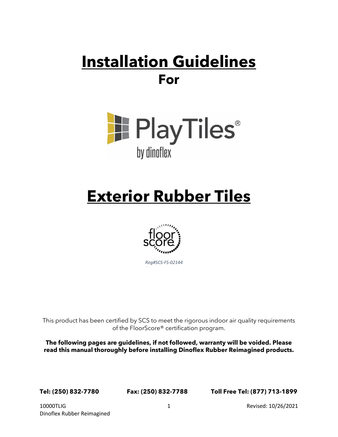# **Installation Guidelines For**



# **Exterior Rubber Tiles**



This product has been certified by SCS to meet the rigorous indoor air quality requirements of the FloorScore® certification program.

**The following pages are guidelines, if not followed, warranty will be voided. Please read this manual thoroughly before installing Dinoflex Rubber Reimagined products.**

**Tel: (250) 832-7780 Fax: (250) 832-7788 Toll Free Tel: (877) 713-1899**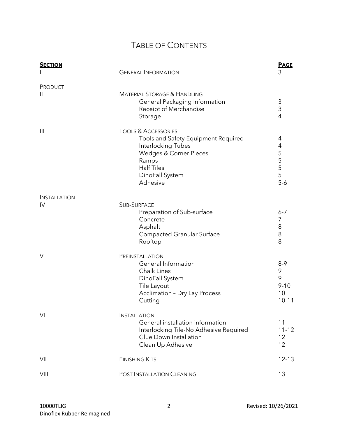# TABLE OF CONTENTS

| <b>SECTION</b>           | <b>GENERAL INFORMATION</b>                                                                                                                                                         | <b>PAGE</b><br>3<br>3<br>3<br>$\overline{4}$<br>4<br>4<br>5<br>5<br>5<br>5<br>5<br>$5-6$ |
|--------------------------|------------------------------------------------------------------------------------------------------------------------------------------------------------------------------------|------------------------------------------------------------------------------------------|
| PRODUCT<br>$\mathbf{  }$ | <b>MATERIAL STORAGE &amp; HANDLING</b><br>General Packaging Information<br>Receipt of Merchandise<br>Storage                                                                       |                                                                                          |
| $\mathbf{III}$           | <b>TOOLS &amp; ACCESSORIES</b><br>Tools and Safety Equipment Required<br>Interlocking Tubes<br>Wedges & Corner Pieces<br>Ramps<br><b>Half Tiles</b><br>DinoFall System<br>Adhesive |                                                                                          |
| <b>INSTALLATION</b>      |                                                                                                                                                                                    |                                                                                          |
| IV                       | <b>SUB-SURFACE</b><br>Preparation of Sub-surface<br>Concrete<br>Asphalt<br><b>Compacted Granular Surface</b><br>Rooftop                                                            | $6 - 7$<br>7<br>8<br>8<br>8                                                              |
| $\vee$                   | PREINSTALLATION<br>General Information<br>Chalk Lines<br>DinoFall System<br>Tile Layout<br><b>Acclimation - Dry Lay Process</b><br>Cutting                                         | $8-9$<br>9<br>9<br>$9 - 10$<br>10<br>$10 - 11$                                           |
| VI                       | <b>INSTALLATION</b><br>General installation information<br>Interlocking Tile-No Adhesive Required<br>Glue Down Installation<br>Clean Up Adhesive                                   | 11<br>$11 - 12$<br>12<br>12                                                              |
| VII                      | <b>FINISHING KITS</b>                                                                                                                                                              | $12 - 13$                                                                                |
| VIII                     | POST INSTALLATION CLEANING                                                                                                                                                         | 13                                                                                       |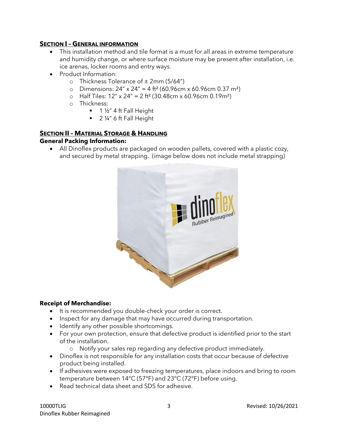# **SECTION I – GENERAL INFORMATION**

- This installation method and tile format is a must for all areas in extreme temperature and humidity change, or where surface moisture may be present after installation, i.e. ice arenas, locker rooms and entry ways.
- Product Information:
	- o Thickness Tolerance of  $\pm$  2mm (5/64")
	- o Dimensions:  $24'' \times 24'' = 4 \text{ ft}^2 (60.96 \text{cm} \times 60.96 \text{cm} \cdot 0.37 \text{ m}^2)$
	- o Half Tiles:  $12'' \times 24'' = 2$  ft<sup>2</sup> (30.48cm x 60.96cm 0.19m<sup>2</sup>)
	- o Thickness:
		- $\blacksquare$  1 ½" 4 ft Fall Height
		- 2 1/4" 6 ft Fall Height

### **SECTION II – MATERIAL STORAGE & HANDLING General Packing Information:**

• All Dinoflex products are packaged on wooden pallets, covered with a plastic cozy, and secured by metal strapping. (image below does not include metal strapping)



#### **Receipt of Merchandise:**

- It is recommended you double-check your order is correct.
- Inspect for any damage that may have occurred during transportation.
- Identify any other possible shortcomings.
- For your own protection, ensure that defective product is identified prior to the start of the installation.
	- o Notify your sales rep regarding any defective product immediately.
- Dinoflex is not responsible for any installation costs that occur because of defective product being installed.
- If adhesives were exposed to freezing temperatures, place indoors and bring to room temperature between 14°C (57°F) and 23°C (72°F) before using.
- Read technical data sheet and SDS for adhesive.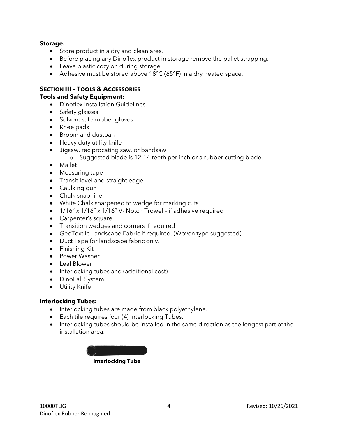#### **Storage:**

- Store product in a dry and clean area.
- Before placing any Dinoflex product in storage remove the pallet strapping.
- Leave plastic cozy on during storage.
- Adhesive must be stored above 18°C (65°F) in a dry heated space.

#### **SECTION III – TOOLS & ACCESSORIES**

#### **Tools and Safety Equipment:**

- Dinoflex Installation Guidelines
- Safety glasses
- Solvent safe rubber gloves
- Knee pads
- Broom and dustpan
- Heavy duty utility knife
- Jigsaw, reciprocating saw, or bandsaw
	- o Suggested blade is 12-14 teeth per inch or a rubber cutting blade.
- Mallet
- Measuring tape
- Transit level and straight edge
- Caulking gun
- Chalk snap-line
- White Chalk sharpened to wedge for marking cuts
- 1/16" x 1/16" x 1/16" V- Notch Trowel if adhesive required
- Carpenter's square
- Transition wedges and corners if required
- GeoTextile Landscape Fabric if required. (Woven type suggested)
- Duct Tape for landscape fabric only.
- Finishing Kit
- Power Washer
- Leaf Blower
- Interlocking tubes and (additional cost)
- DinoFall System
- Utility Knife

#### **Interlocking Tubes:**

- Interlocking tubes are made from black polyethylene.
- Each tile requires four (4) Interlocking Tubes.
- Interlocking tubes should be installed in the same direction as the longest part of the installation area.

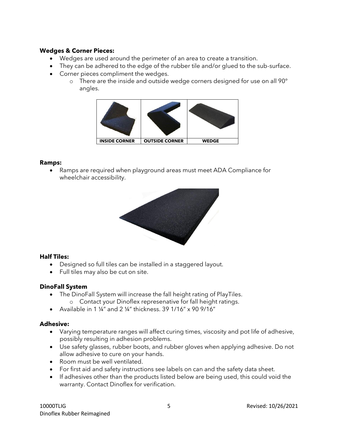#### **Wedges & Corner Pieces:**

- Wedges are used around the perimeter of an area to create a transition.
- They can be adhered to the edge of the rubber tile and/or glued to the sub-surface.
- Corner pieces compliment the wedges.
	- o There are the inside and outside wedge corners designed for use on all 90° angles.



#### **Ramps:**

• Ramps are required when playground areas must meet ADA Compliance for wheelchair accessibility.



#### **Half Tiles:**

- Designed so full tiles can be installed in a staggered layout.
- Full tiles may also be cut on site.

#### **DinoFall System**

- The DinoFall System will increase the fall height rating of PlayTiles.
	- o Contact your Dinoflex represenative for fall height ratings.
- Available in 1 ¼" and 2 ¼" thickness. 39 1/16" x 90 9/16"

#### **Adhesive:**

- Varying temperature ranges will affect curing times, viscosity and pot life of adhesive, possibly resulting in adhesion problems.
- Use safety glasses, rubber boots, and rubber gloves when applying adhesive. Do not allow adhesive to cure on your hands.
- Room must be well ventilated.
- For first aid and safety instructions see labels on can and the safety data sheet.
- If adhesives other than the products listed below are being used, this could void the warranty. Contact Dinoflex for verification.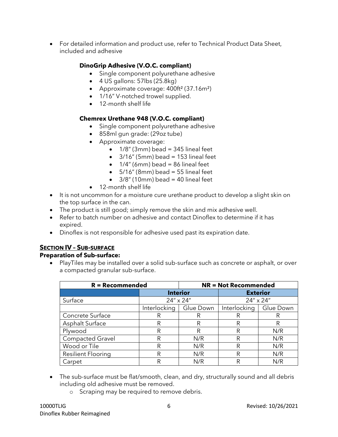• For detailed information and product use, refer to Technical Product Data Sheet, included and adhesive

# **DinoGrip Adhesive (V.O.C. compliant)**

- Single component polyurethane adhesive
- $\bullet$  4 US gallons: 57lbs (25.8kg)
- Approximate coverage: 400ft<sup>2</sup> (37.16m<sup>2</sup>)
- 1/16" V-notched trowel supplied.
- 12-month shelf life

# **Chemrex Urethane 948 (V.O.C. compliant)**

- Single component polyurethane adhesive
- 858ml gun grade: (29oz tube)
- Approximate coverage:
	- $\bullet$  1/8" (3mm) bead = 345 lineal feet
	- $\bullet$  3/16" (5mm) bead = 153 lineal feet
	- $\bullet$  1/4" (6mm) bead = 86 lineal feet
	- $\bullet$  5/16" (8mm) bead = 55 lineal feet
	- $\bullet$  3/8" (10mm) bead = 40 lineal feet
- 12-month shelf life
- It is not uncommon for a moisture cure urethane product to develop a slight skin on the top surface in the can.
- The product is still good; simply remove the skin and mix adhesive well.
- Refer to batch number on adhesive and contact Dinoflex to determine if it has expired.
- Dinoflex is not responsible for adhesive used past its expiration date.

# **SECTION IV – SUB-SURFACE**

#### **Preparation of Sub-surface:**

• PlayTiles may be installed over a solid sub-surface such as concrete or asphalt, or over a compacted granular sub-surface.

| $R = Recommended$         | <b>NR = Not Recommended</b> |           |                 |           |
|---------------------------|-----------------------------|-----------|-----------------|-----------|
|                           | <b>Interior</b>             |           | <b>Exterior</b> |           |
| Surface                   | 24" x 24"                   |           | 24" x 24"       |           |
|                           | Interlocking                | Glue Down | Interlocking    | Glue Down |
| Concrete Surface          |                             | R         | R               | R         |
| Asphalt Surface           | R                           | R         | R               | R         |
| Plywood                   | R                           | R         | R               | N/R       |
| <b>Compacted Gravel</b>   | R                           | N/R       | R               | N/R       |
| Wood or Tile              | R                           | N/R       | R               | N/R       |
| <b>Resilient Flooring</b> | R                           | N/R       | R               | N/R       |
| Carpet                    | R                           | N/R       | R               | N/R       |

- The sub-surface must be flat/smooth, clean, and dry, structurally sound and all debris including old adhesive must be removed.
	- o Scraping may be required to remove debris.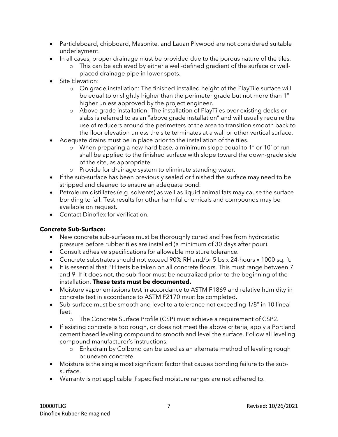- Particleboard, chipboard, Masonite, and Lauan Plywood are not considered suitable underlayment.
- In all cases, proper drainage must be provided due to the porous nature of the tiles.
	- o This can be achieved by either a well-defined gradient of the surface or wellplaced drainage pipe in lower spots.
- Site Elevation:
	- o On grade installation: The finished installed height of the PlayTile surface will be equal to or slightly higher than the perimeter grade but not more than 1" higher unless approved by the project engineer.
	- o Above grade installation: The installation of PlayTiles over existing decks or slabs is referred to as an "above grade installation" and will usually require the use of reducers around the perimeters of the area to transition smooth back to the floor elevation unless the site terminates at a wall or other vertical surface.
- Adequate drains must be in place prior to the installation of the tiles.
	- o When preparing a new hard base, a minimum slope equal to 1" or 10' of run shall be applied to the finished surface with slope toward the down-grade side of the site, as appropriate.
	- o Provide for drainage system to eliminate standing water.
- If the sub-surface has been previously sealed or finished the surface may need to be stripped and cleaned to ensure an adequate bond.
- Petroleum distillates (e.g. solvents) as well as liquid animal fats may cause the surface bonding to fail. Test results for other harmful chemicals and compounds may be available on request.
- Contact Dinoflex for verification.

# **Concrete Sub-Surface:**

- New concrete sub-surfaces must be thoroughly cured and free from hydrostatic pressure before rubber tiles are installed (a minimum of 30 days after pour).
- Consult adhesive specifications for allowable moisture tolerance.
- Concrete substrates should not exceed 90% RH and/or 5lbs x 24-hours x 1000 sq. ft.
- It is essential that PH tests be taken on all concrete floors. This must range between 7 and 9. If it does not, the sub-floor must be neutralized prior to the beginning of the installation. **These tests must be documented.**
- Moisture vapor emissions test in accordance to ASTM F1869 and relative humidity in concrete test in accordance to ASTM F2170 must be completed.
- Sub-surface must be smooth and level to a tolerance not exceeding 1/8" in 10 lineal feet.
	- o The Concrete Surface Profile (CSP) must achieve a requirement of CSP2.
- If existing concrete is too rough, or does not meet the above criteria, apply a Portland cement based leveling compound to smooth and level the surface. Follow all leveling compound manufacturer's instructions.
	- o Enkadrain by Colbond can be used as an alternate method of leveling rough or uneven concrete.
- Moisture is the single most significant factor that causes bonding failure to the subsurface.
- Warranty is not applicable if specified moisture ranges are not adhered to.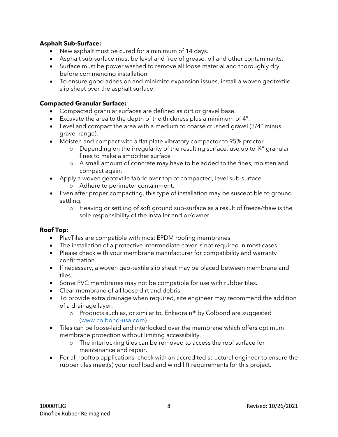#### **Asphalt Sub-Surface:**

- New asphalt must be cured for a minimum of 14 days.
- Asphalt sub-surface must be level and free of grease, oil and other contaminants.
- Surface must be power washed to remove all loose material and thoroughly dry before commencing installation
- To ensure good adhesion and minimize expansion issues, install a woven geotextile slip sheet over the asphalt surface.

### **Compacted Granular Surface:**

- Compacted granular surfaces are defined as dirt or gravel base.
- Excavate the area to the depth of the thickness plus a minimum of 4".
- Level and compact the area with a medium to coarse crushed gravel (3/4" minus gravel range).
- Moisten and compact with a flat plate vibratory compactor to 95% proctor.
	- o Depending on the irregularity of the resulting surface, use up to ¼" granular fines to make a smoother surface
	- o A small amount of concrete may have to be added to the fines, moisten and compact again.
- Apply a woven geotextile fabric over top of compacted, level sub-surface.
	- o Adhere to perimeter containment.
- Even after proper compacting, this type of installation may be susceptible to ground settling.
	- o Heaving or settling of soft ground sub-surface as a result of freeze/thaw is the sole responsibility of the installer and or/owner.

#### **Roof Top:**

- PlayTiles are compatible with most EPDM roofing membranes.
- The installation of a protective intermediate cover is not required in most cases.
- Please check with your membrane manufacturer for compatibility and warranty confirmation.
- If necessary, a woven geo-textile slip sheet may be placed between membrane and tiles.
- Some PVC membranes may not be compatible for use with rubber tiles.
- Clear membrane of all loose dirt and debris.
- To provide extra drainage when required, site engineer may recommend the addition of a drainage layer.
	- o Products such as, or similar to, Enkadrain® by Colbond are suggested [\(www.colbond-usa.com\)](http://www.colbond-usa.com/)
- Tiles can be loose-laid and interlocked over the membrane which offers optimum membrane protection without limiting accessibility.
	- o The interlocking tiles can be removed to access the roof surface for maintenance and repair.
- For all rooftop applications, check with an accredited structural engineer to ensure the rubber tiles meet(s) your roof load and wind lift requirements for this project.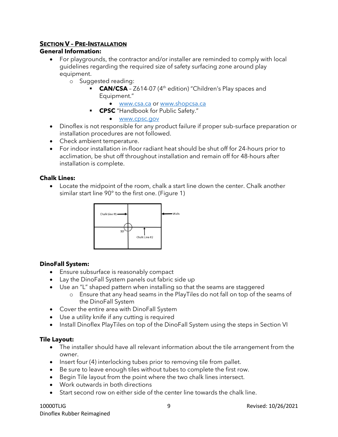# **SECTION V – PRE-INSTALLATION**

#### **General Information:**

- For playgrounds, the contractor and/or installer are reminded to comply with local guidelines regarding the required size of safety surfacing zone around play equipment.
	- o Suggested reading:
		- **CAN/CSA** Z614-07 (4<sup>th</sup> edition) "Children's Play spaces and Equipment."
			- [www.csa.ca](http://www.csa.ca/) or [www.shopcsa.ca](http://www.shopcsa.ca/)
		- **CPSC** "Handbook for Public Safety."
			- [www.cpsc.gov](http://www.cpsc.gov/)
- Dinoflex is not responsible for any product failure if proper sub-surface preparation or installation procedures are not followed.
- Check ambient temperature.
- For indoor installation in-floor radiant heat should be shut off for 24-hours prior to acclimation, be shut off throughout installation and remain off for 48-hours after installation is complete.

#### **Chalk Lines:**

• Locate the midpoint of the room, chalk a start line down the center. Chalk another similar start line 90° to the first one. (Figure 1)



#### **DinoFall System:**

- Ensure subsurface is reasonably compact
- Lay the DinoFall System panels out fabric side up
- Use an "L" shaped pattern when installing so that the seams are staggered
	- o Ensure that any head seams in the PlayTiles do not fall on top of the seams of the DinoFall System
- Cover the entire area with DinoFall System
- Use a utility knife if any cutting is required
- Install Dinoflex PlayTiles on top of the DinoFall System using the steps in Section VI

#### **Tile Layout:**

- The installer should have all relevant information about the tile arrangement from the owner.
- Insert four (4) interlocking tubes prior to removing tile from pallet.
- Be sure to leave enough tiles without tubes to complete the first row.
- Begin Tile layout from the point where the two chalk lines intersect.
- Work outwards in both directions
- Start second row on either side of the center line towards the chalk line.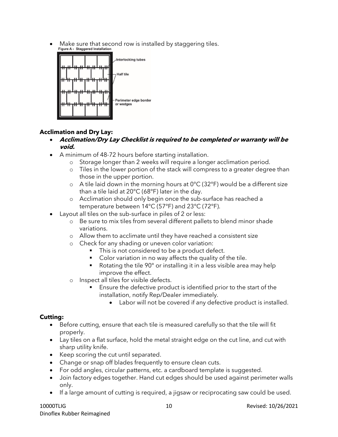Make sure that second row is installed by staggering tiles.<br>Figure A - Staggered Installation



# **Acclimation and Dry Lay:**

- **Acclimation/Dry Lay Checklist is required to be completed or warranty will be void.**
- A minimum of 48-72 hours before starting installation.
	- o Storage longer than 2 weeks will require a longer acclimation period.
	- o Tiles in the lower portion of the stack will compress to a greater degree than those in the upper portion.
	- $\circ$  A tile laid down in the morning hours at 0°C (32°F) would be a different size than a tile laid at 20°C (68°F) later in the day.
	- o Acclimation should only begin once the sub-surface has reached a temperature between 14°C (57°F) and 23°C (72°F).
- Layout all tiles on the sub-surface in piles of 2 or less:
	- o Be sure to mix tiles from several different pallets to blend minor shade variations.
	- o Allow them to acclimate until they have reached a consistent size
	- o Check for any shading or uneven color variation:
		- This is not considered to be a product defect.
		- Color variation in no way affects the quality of the tile.
		- Rotating the tile 90° or installing it in a less visible area may help improve the effect.
	- o Inspect all tiles for visible defects.
		- Ensure the defective product is identified prior to the start of the installation, notify Rep/Dealer immediately.
			- Labor will not be covered if any defective product is installed.

# **Cutting:**

- Before cutting, ensure that each tile is measured carefully so that the tile will fit properly.
- Lay tiles on a flat surface, hold the metal straight edge on the cut line, and cut with sharp utility knife.
- Keep scoring the cut until separated.
- Change or snap off blades frequently to ensure clean cuts.
- For odd angles, circular patterns, etc. a cardboard template is suggested.
- Join factory edges together. Hand cut edges should be used against perimeter walls only.
- If a large amount of cutting is required, a jigsaw or reciprocating saw could be used.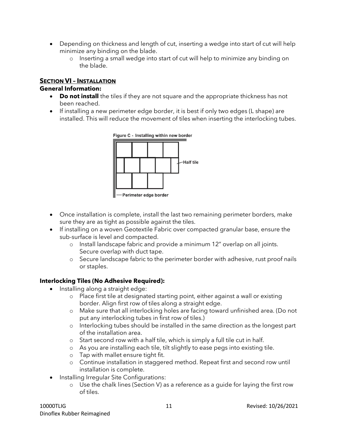- Depending on thickness and length of cut, inserting a wedge into start of cut will help minimize any binding on the blade.
	- o Inserting a small wedge into start of cut will help to minimize any binding on the blade.

# **SECTION VI – INSTALLATION**

#### **General Information:**

- **Do not install** the tiles if they are not square and the appropriate thickness has not been reached.
- If installing a new perimeter edge border, it is best if only two edges (L shape) are installed. This will reduce the movement of tiles when inserting the interlocking tubes.



- Once installation is complete, install the last two remaining perimeter borders, make sure they are as tight as possible against the tiles.
- If installing on a woven Geotextile Fabric over compacted granular base, ensure the sub-surface is level and compacted.
	- o Install landscape fabric and provide a minimum 12" overlap on all joints. Secure overlap with duct tape.
	- o Secure landscape fabric to the perimeter border with adhesive, rust proof nails or staples.

#### **Interlocking Tiles (No Adhesive Required):**

- Installing along a straight edge:
	- o Place first tile at designated starting point, either against a wall or existing border. Align first row of tiles along a straight edge.
	- o Make sure that all interlocking holes are facing toward unfinished area. (Do not put any interlocking tubes in first row of tiles.)
	- o Interlocking tubes should be installed in the same direction as the longest part of the installation area.
	- o Start second row with a half tile, which is simply a full tile cut in half.
	- o As you are installing each tile, tilt slightly to ease pegs into existing tile.
	- o Tap with mallet ensure tight fit.
	- o Continue installation in staggered method. Repeat first and second row until installation is complete.
- Installing Irregular Site Configurations:
	- o Use the chalk lines (Section V) as a reference as a guide for laying the first row of tiles.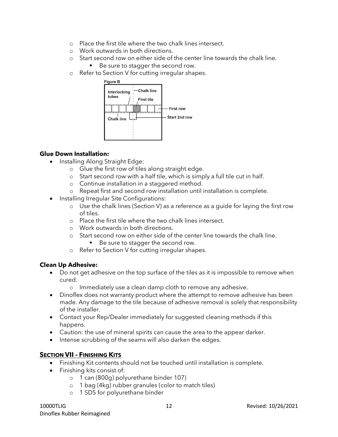- o Place the first tile where the two chalk lines intersect.
- o Work outwards in both directions.
- o Start second row on either side of the center line towards the chalk line.
	- Be sure to stagger the second row.
- o Refer to Section V for cutting irregular shapes.



# **Glue Down Installation:**

- Installing Along Straight Edge:
	- o Glue the first row of tiles along straight edge.
	- o Start second row with a half tile, which is simply a full tile cut in half.
	- o Continue installation in a staggered method.
	- o Repeat first and second row installation until installation is complete.
- Installing Irregular Site Configurations:
	- o Use the chalk lines (Section V) as a reference as a guide for laying the first row of tiles.
	- o Place the first tile where the two chalk lines intersect.
	- o Work outwards in both directions.
	- o Start second row on either side of the center line towards the chalk line.
		- Be sure to stagger the second row.
	- o Refer to Section V for cutting irregular shapes.

# **Clean Up Adhesive:**

- Do not get adhesive on the top surface of the tiles as it is impossible to remove when cured.
	- o Immediately use a clean damp cloth to remove any adhesive.
- Dinoflex does not warranty product where the attempt to remove adhesive has been made. Any damage to the tile because of adhesive removal is solely that responsibility of the installer.
- Contact your Rep/Dealer immediately for suggested cleaning methods if this happens.
- Caution: the use of mineral spirits can cause the area to the appear darker.
- Intense scrubbing of the seams will also darken the edges.

# **SECTION VII – FINISHING KITS**

- Finishing Kit contents should not be touched until installation is complete.
- Finishing kits consist of:
	- o 1 can (800g) polyurethane binder 107)
	- o 1 bag (4kg) rubber granules (color to match tiles)
	- o 1 SDS for polyurethane binder